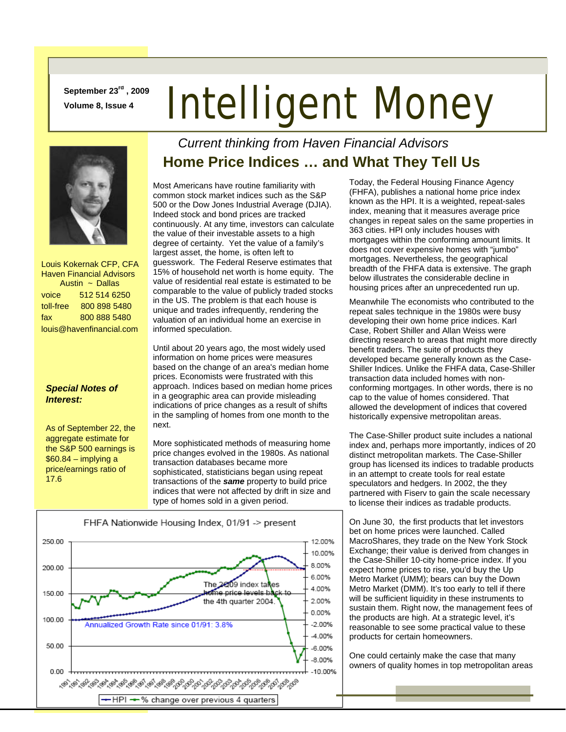**September 23rd , 2009** 

# **September 23<sup>ve</sup>, 2009 Intelligent Money**



 Louis Kokernak CFP, CFA Haven Financial Advisors Austin ~ Dallas voice 512 514 6250 toll-free 800 898 5480 fax 800 888 5480 louis@havenfinancial.com

### *Special Notes of Interest:*

As of September 22, the aggregate estimate for the S&P 500 earnings is  $$60.84 -$  implying a price/earnings ratio of 17.6

### *Current thinking from Haven Financial Advisors*  **Home Price Indices … and What They Tell Us**

Most Americans have routine familiarity with common stock market indices such as the S&P 500 or the Dow Jones Industrial Average (DJIA). Indeed stock and bond prices are tracked continuously. At any time, investors can calculate the value of their investable assets to a high degree of certainty. Yet the value of a family's largest asset, the home, is often left to guesswork. The Federal Reserve estimates that 15% of household net worth is home equity. The value of residential real estate is estimated to be comparable to the value of publicly traded stocks in the US. The problem is that each house is unique and trades infrequently, rendering the valuation of an individual home an exercise in informed speculation.

Until about 20 years ago, the most widely used information on home prices were measures based on the change of an area's median home prices. Economists were frustrated with this approach. Indices based on median home prices in a geographic area can provide misleading indications of price changes as a result of shifts in the sampling of homes from one month to the next.

More sophisticated methods of measuring home price changes evolved in the 1980s. As national transaction databases became more sophisticated, statisticians began using repeat transactions of the *same* property to build price indices that were not affected by drift in size and type of homes sold in a given period.



Today, the Federal Housing Finance Agency (FHFA), publishes a national home price index known as the HPI. It is a weighted, repeat-sales index, meaning that it measures average price changes in repeat sales on the same properties in 363 cities. HPI only includes houses with mortgages within the conforming amount limits. It does not cover expensive homes with "jumbo" mortgages. Nevertheless, the geographical breadth of the FHFA data is extensive. The graph below illustrates the considerable decline in housing prices after an unprecedented run up.

Meanwhile The economists who contributed to the repeat sales technique in the 1980s were busy developing their own home price indices. Karl Case, Robert Shiller and Allan Weiss were directing research to areas that might more directly benefit traders. The suite of products they developed became generally known as the Case-Shiller Indices. Unlike the FHFA data, Case-Shiller transaction data included homes with nonconforming mortgages. In other words, there is no cap to the value of homes considered. That allowed the development of indices that covered historically expensive metropolitan areas.

The Case-Shiller product suite includes a national index and, perhaps more importantly, indices of 20 distinct metropolitan markets. The Case-Shiller group has licensed its indices to tradable products in an attempt to create tools for real estate speculators and hedgers. In 2002, the they partnered with Fiserv to gain the scale necessary to license their indices as tradable products.

On June 30, the first products that let investors bet on home prices were launched. Called MacroShares, they trade on the New York Stock Exchange; their value is derived from changes in the Case-Shiller 10-city home-price index. If you expect home prices to rise, you'd buy the Up Metro Market (UMM); bears can buy the Down Metro Market (DMM). It's too early to tell if there will be sufficient liquidity in these instruments to sustain them. Right now, the management fees of the products are high. At a strategic level, it's reasonable to see some practical value to these products for certain homeowners.

One could certainly make the case that many owners of quality homes in top metropolitan areas